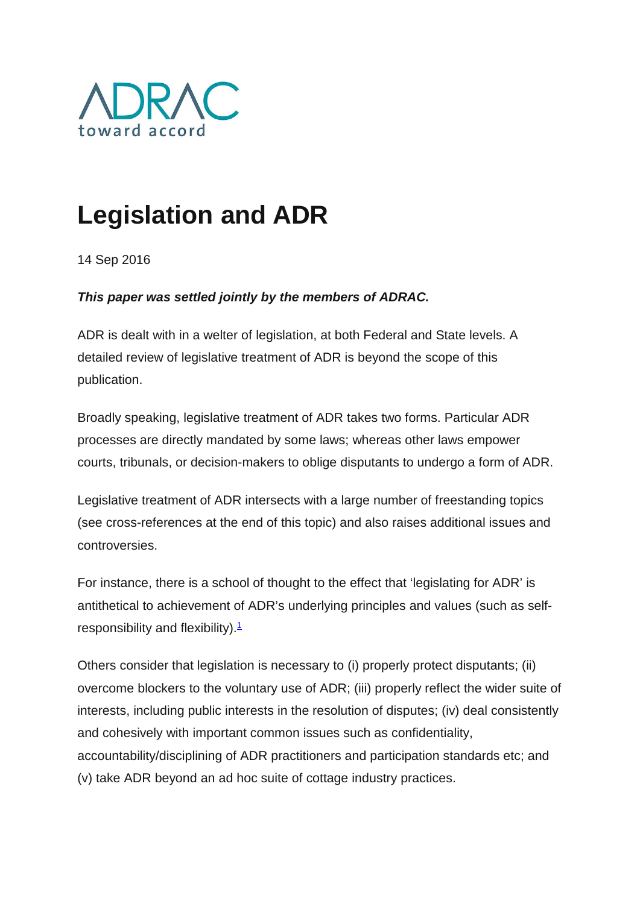

## **Legislation and ADR**

14 Sep 2016

## *This paper was settled jointly by the members of ADRAC.*

ADR is dealt with in a welter of legislation, at both Federal and State levels. A detailed review of legislative treatment of ADR is beyond the scope of this publication.

Broadly speaking, legislative treatment of ADR takes two forms. Particular ADR processes are directly mandated by some laws; whereas other laws empower courts, tribunals, or decision-makers to oblige disputants to undergo a form of ADR.

Legislative treatment of ADR intersects with a large number of freestanding topics (see cross-references at the end of this topic) and also raises additional issues and controversies.

For instance, there is a school of thought to the effect that 'legislating for ADR' is antithetical to achievement of ADR's underlying principles and values (such as selfresponsibility and flexibility). $\frac{1}{2}$ 

Others consider that legislation is necessary to (i) properly protect disputants; (ii) overcome blockers to the voluntary use of ADR; (iii) properly reflect the wider suite of interests, including public interests in the resolution of disputes; (iv) deal consistently and cohesively with important common issues such as confidentiality, accountability/disciplining of ADR practitioners and participation standards etc; and (v) take ADR beyond an ad hoc suite of cottage industry practices.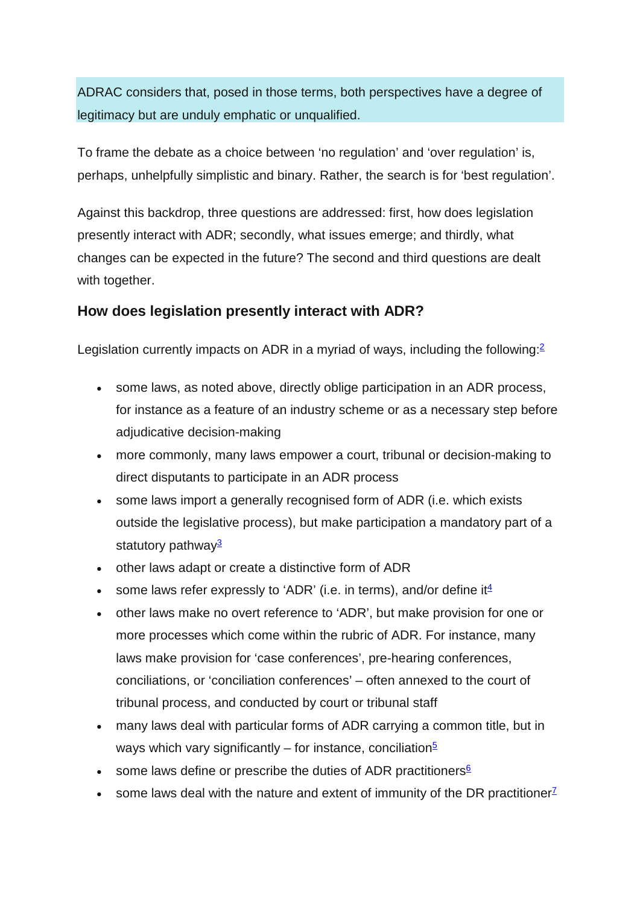ADRAC considers that, posed in those terms, both perspectives have a degree of legitimacy but are unduly emphatic or unqualified.

To frame the debate as a choice between 'no regulation' and 'over regulation' is, perhaps, unhelpfully simplistic and binary. Rather, the search is for 'best regulation'.

Against this backdrop, three questions are addressed: first, how does legislation presently interact with ADR; secondly, what issues emerge; and thirdly, what changes can be expected in the future? The second and third questions are dealt with together.

## **How does legislation presently interact with ADR?**

Legislation currently impacts on ADR in a myriad of ways, including the following: $2$ 

- some laws, as noted above, directly oblige participation in an ADR process, for instance as a feature of an industry scheme or as a necessary step before adjudicative decision-making
- more commonly, many laws empower a court, tribunal or decision-making to direct disputants to participate in an ADR process
- some laws import a generally recognised form of ADR (i.e. which exists outside the legislative process), but make participation a mandatory part of a statutory pathway<sup>3</sup>
- other laws adapt or create a distinctive form of ADR
- some laws refer expressly to 'ADR' (i.e. in terms), and/or define it  $\frac{4}{3}$
- other laws make no overt reference to 'ADR', but make provision for one or more processes which come within the rubric of ADR. For instance, many laws make provision for 'case conferences', pre-hearing conferences, conciliations, or 'conciliation conferences' – often annexed to the court of tribunal process, and conducted by court or tribunal staff
- many laws deal with particular forms of ADR carrying a common title, but in ways which vary significantly – for instance, conciliation<sup>5</sup>
- some laws define or prescribe the duties of ADR practitioners $6$
- some laws deal with the nature and extent of immunity of the DR practitioner<sup>7</sup>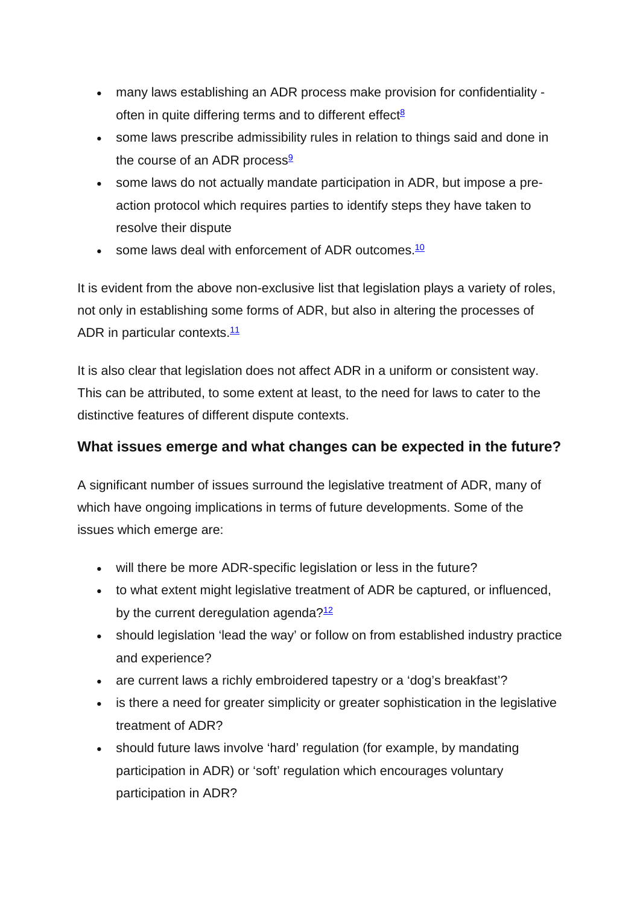- many laws establishing an ADR process make provision for confidentiality often in quite differing terms and to different effect $8$
- some laws prescribe admissibility rules in relation to things said and done in the course of an ADR process $9$
- some laws do not actually mandate participation in ADR, but impose a preaction protocol which requires parties to identify steps they have taken to resolve their dispute
- some laws deal with enforcement of ADR outcomes. $\frac{10}{10}$

It is evident from the above non-exclusive list that legislation plays a variety of roles, not only in establishing some forms of ADR, but also in altering the processes of ADR in particular contexts.<sup>11</sup>

It is also clear that legislation does not affect ADR in a uniform or consistent way. This can be attributed, to some extent at least, to the need for laws to cater to the distinctive features of different dispute contexts.

## **What issues emerge and what changes can be expected in the future?**

A significant number of issues surround the legislative treatment of ADR, many of which have ongoing implications in terms of future developments. Some of the issues which emerge are:

- will there be more ADR-specific legislation or less in the future?
- to what extent might legislative treatment of ADR be captured, or influenced, by the current deregulation agenda? $12$
- should legislation 'lead the way' or follow on from established industry practice and experience?
- are current laws a richly embroidered tapestry or a 'dog's breakfast'?
- is there a need for greater simplicity or greater sophistication in the legislative treatment of ADR?
- should future laws involve 'hard' regulation (for example, by mandating participation in ADR) or 'soft' regulation which encourages voluntary participation in ADR?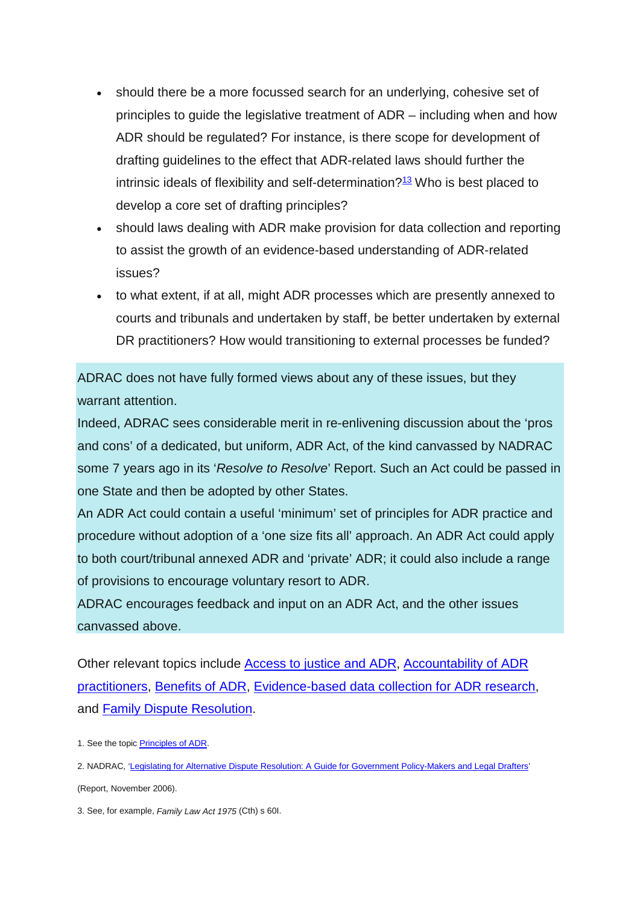- should there be a more focussed search for an underlying, cohesive set of principles to guide the legislative treatment of ADR – including when and how ADR should be regulated? For instance, is there scope for development of drafting guidelines to the effect that ADR-related laws should further the intrinsic ideals of flexibility and self-determination? $13$  Who is best placed to develop a core set of drafting principles?
- should laws dealing with ADR make provision for data collection and reporting to assist the growth of an evidence-based understanding of ADR-related issues?
- to what extent, if at all, might ADR processes which are presently annexed to courts and tribunals and undertaken by staff, be better undertaken by external DR practitioners? How would transitioning to external processes be funded?

ADRAC does not have fully formed views about any of these issues, but they warrant attention.

Indeed, ADRAC sees considerable merit in re-enlivening discussion about the 'pros and cons' of a dedicated, but uniform, ADR Act, of the kind canvassed by NADRAC some 7 years ago in its '*Resolve to Resolve*' Report. Such an Act could be passed in one State and then be adopted by other States.

An ADR Act could contain a useful 'minimum' set of principles for ADR practice and procedure without adoption of a 'one size fits all' approach. An ADR Act could apply to both court/tribunal annexed ADR and 'private' ADR; it could also include a range of provisions to encourage voluntary resort to ADR.

ADRAC encourages feedback and input on an ADR Act, and the other issues canvassed above.

Other relevant topics include Access to justice and ADR, Accountability of ADR practitioners, Benefits of ADR, Evidence-based data collection for ADR research, and Family Dispute Resolution.

2. NADRAC, ['Legislating for Alternative Dispute Resolution: A Guide for Government Policy-Makers and](https://www.ag.gov.au/LegalSystem/AlternateDisputeResolution/Documents/NADRAC%20Publications/Legislating%20for%20Alternative%20Dispute%20Resolution.PDF) Legal Drafters' (Report, November 2006).

3. See, for example, *Family Law Act 1975* (Cth) s 60I.

<sup>1.</sup> See the topic **Principles of ADR**.